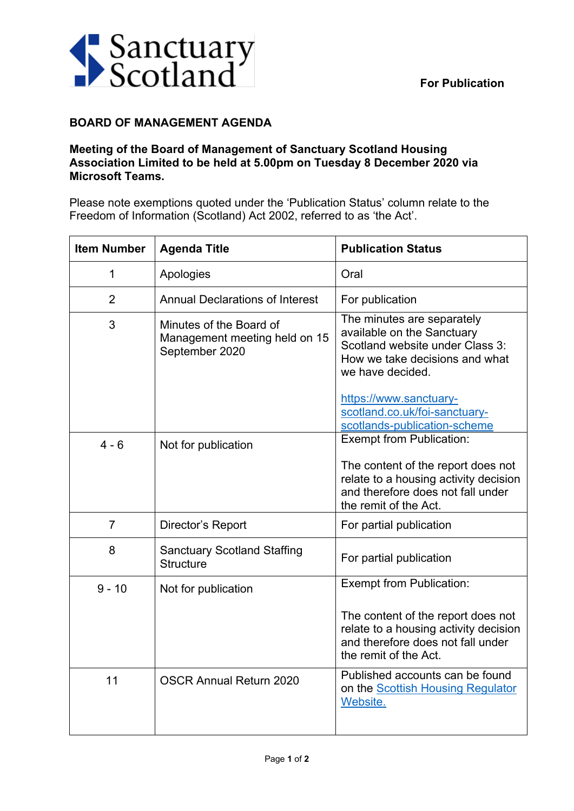

## **BOARD OF MANAGEMENT AGENDA**

## **Meeting of the Board of Management of Sanctuary Scotland Housing Association Limited to be held at 5.00pm on Tuesday 8 December 2020 via Microsoft Teams.**

Please note exemptions quoted under the 'Publication Status' column relate to the Freedom of Information (Scotland) Act 2002, referred to as 'the Act'.

| <b>Item Number</b> | <b>Agenda Title</b>                                                        | <b>Publication Status</b>                                                                                                                                                   |
|--------------------|----------------------------------------------------------------------------|-----------------------------------------------------------------------------------------------------------------------------------------------------------------------------|
| 1                  | Apologies                                                                  | Oral                                                                                                                                                                        |
| $\overline{2}$     | <b>Annual Declarations of Interest</b>                                     | For publication                                                                                                                                                             |
| 3                  | Minutes of the Board of<br>Management meeting held on 15<br>September 2020 | The minutes are separately<br>available on the Sanctuary<br>Scotland website under Class 3:<br>How we take decisions and what<br>we have decided.<br>https://www.sanctuary- |
|                    |                                                                            | scotland.co.uk/foi-sanctuary-<br>scotlands-publication-scheme                                                                                                               |
| $4 - 6$            | Not for publication                                                        | <b>Exempt from Publication:</b>                                                                                                                                             |
|                    |                                                                            | The content of the report does not<br>relate to a housing activity decision<br>and therefore does not fall under<br>the remit of the Act.                                   |
| $\overline{7}$     | Director's Report                                                          | For partial publication                                                                                                                                                     |
| 8                  | <b>Sanctuary Scotland Staffing</b><br><b>Structure</b>                     | For partial publication                                                                                                                                                     |
| $9 - 10$           | Not for publication                                                        | <b>Exempt from Publication:</b>                                                                                                                                             |
|                    |                                                                            | The content of the report does not<br>relate to a housing activity decision<br>and therefore does not fall under<br>the remit of the Act.                                   |
| 11                 | <b>OSCR Annual Return 2020</b>                                             | Published accounts can be found<br>on the <b>Scottish Housing Regulator</b><br>Website.                                                                                     |